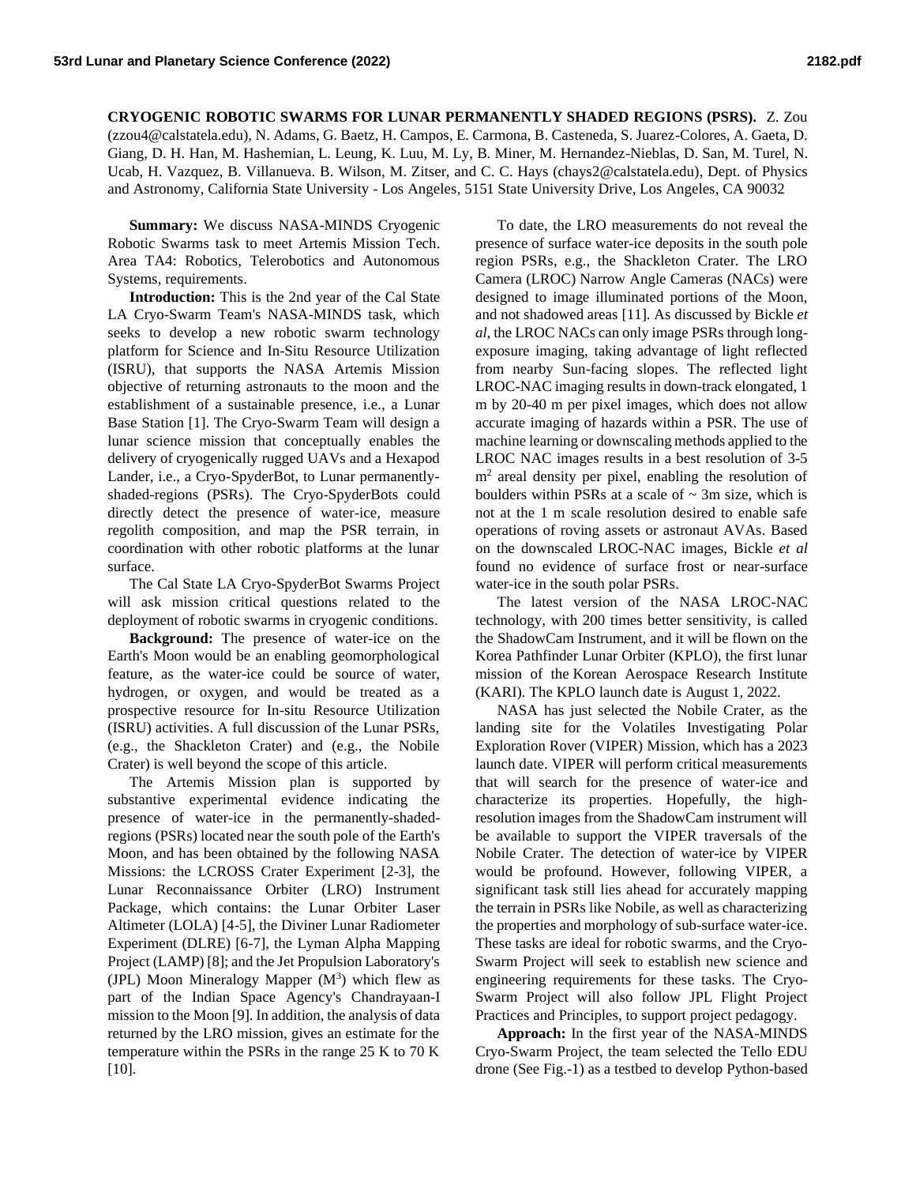**CRYOGENIC ROBOTIC SWARMS FOR LUNAR PERMANENTLY SHADED REGIONS (PSRS).** Z. Zou (zzou4@calstatela.edu), N. Adams, G. Baetz, H. Campos, E. Carmona, B. Casteneda, S. Juarez-Colores, A. Gaeta, D. Giang, D. H. Han, M. Hashemian, L. Leung, K. Luu, M. Ly, B. Miner, M. Hernandez-Nieblas, D. San, M. Turel, N. Ucab, H. Vazquez, B. Villanueva. B. Wilson, M. Zitser, and C. C. Hays (chays2@calstatela.edu), Dept. of Physics and Astronomy, California State University - Los Angeles, 5151 State University Drive, Los Angeles, CA 90032

**Summary:** We discuss NASA-MINDS Cryogenic Robotic Swarms task to meet Artemis Mission Tech. Area TA4: Robotics, Telerobotics and Autonomous Systems, requirements.

**Introduction:** This is the 2nd year of the Cal State LA Cryo-Swarm Team's NASA-MINDS task, which seeks to develop a new robotic swarm technology platform for Science and In-Situ Resource Utilization (ISRU), that supports the NASA Artemis Mission objective of returning astronauts to the moon and the establishment of a sustainable presence, i.e., a Lunar Base Station [1]. The Cryo-Swarm Team will design a lunar science mission that conceptually enables the delivery of cryogenically rugged UAVs and a Hexapod Lander, i.e., a Cryo-SpyderBot, to Lunar permanentlyshaded-regions (PSRs). The Cryo-SpyderBots could directly detect the presence of water-ice, measure regolith composition, and map the PSR terrain, in coordination with other robotic platforms at the lunar surface.

The Cal State LA Cryo-SpyderBot Swarms Project will ask mission critical questions related to the deployment of robotic swarms in cryogenic conditions.

**Background:** The presence of water-ice on the Earth's Moon would be an enabling geomorphological feature, as the water-ice could be source of water, hydrogen, or oxygen, and would be treated as a prospective resource for In-situ Resource Utilization (ISRU) activities. A full discussion of the Lunar PSRs, (e.g., the Shackleton Crater) and (e.g., the Nobile Crater) is well beyond the scope of this article.

The Artemis Mission plan is supported by substantive experimental evidence indicating the presence of water-ice in the permanently-shadedregions (PSRs) located near the south pole of the Earth's Moon, and has been obtained by the following NASA Missions: the LCROSS Crater Experiment [2-3], the Lunar Reconnaissance Orbiter (LRO) Instrument Package, which contains: the Lunar Orbiter Laser Altimeter (LOLA) [4-5], the Diviner Lunar Radiometer Experiment (DLRE) [6-7], the Lyman Alpha Mapping Project (LAMP) [8]; and the Jet Propulsion Laboratory's (JPL) Moon Mineralogy Mapper  $(M^3)$  which flew as part of the Indian Space Agency's Chandrayaan-I mission to the Moon [9]. In addition, the analysis of data returned by the LRO mission, gives an estimate for the temperature within the PSRs in the range 25 K to 70 K [10].

To date, the LRO measurements do not reveal the presence of surface water-ice deposits in the south pole region PSRs, e.g., the Shackleton Crater. The LRO Camera (LROC) Narrow Angle Cameras (NACs) were designed to image illuminated portions of the Moon, and not shadowed areas [11]. As discussed by Bickle *et al,*the LROC NACs can only image PSRs through longexposure imaging, taking advantage of light reflected from nearby Sun-facing slopes. The reflected light LROC-NAC imaging results in down-track elongated, 1 m by 20-40 m per pixel images, which does not allow accurate imaging of hazards within a PSR. The use of machine learning or downscaling methods applied to the LROC NAC images results in a best resolution of 3-5 m<sup>2</sup> areal density per pixel, enabling the resolution of boulders within PSRs at a scale of  $\sim$  3m size, which is not at the 1 m scale resolution desired to enable safe operations of roving assets or astronaut AVAs. Based on the downscaled LROC-NAC images, Bickle *et al* found no evidence of surface frost or near-surface water-ice in the south polar PSRs.

The latest version of the NASA LROC-NAC technology, with 200 times better sensitivity, is called the ShadowCam Instrument, and it will be flown on the Korea Pathfinder Lunar Orbiter (KPLO), the first lunar mission of the Korean Aerospace Research Institute (KARI). The KPLO launch date is August 1, 2022.

NASA has just selected the Nobile Crater, as the landing site for the Volatiles Investigating Polar Exploration Rover (VIPER) Mission, which has a 2023 launch date. VIPER will perform critical measurements that will search for the presence of water-ice and characterize its properties. Hopefully, the highresolution images from the ShadowCam instrument will be available to support the VIPER traversals of the Nobile Crater. The detection of water-ice by VIPER would be profound. However, following VIPER, a significant task still lies ahead for accurately mapping the terrain in PSRs like Nobile, as well as characterizing the properties and morphology of sub-surface water-ice. These tasks are ideal for robotic swarms, and the Cryo-Swarm Project will seek to establish new science and engineering requirements for these tasks. The Cryo-Swarm Project will also follow JPL Flight Project Practices and Principles, to support project pedagogy.

**Approach:** In the first year of the NASA-MINDS Cryo-Swarm Project, the team selected the Tello EDU drone (See Fig.-1) as a testbed to develop Python-based